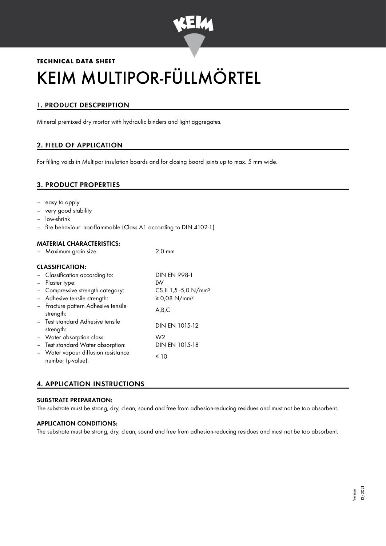

# **TECHNICAL DATA SHEET** KEIM MULTIPOR-FÜLLMÖRTEL

# 1. PRODUCT DESCPRIPTION

Mineral premixed dry mortar with hydraulic binders and light aggregates.

# 2. FIELD OF APPLICATION

For filling voids in Multipor insulation boards and for closing board joints up to max. 5 mm wide.

# 3. PRODUCT PROPERTIES

- easy to apply
- very good stability
- low-shrink
- fire behaviour: non-flammable (Class A1 according to DIN 4102-1)

## MATERIAL CHARACTERISTICS:

| - Maximum grain size:                                    | $2.0 \text{ mm}$                 |
|----------------------------------------------------------|----------------------------------|
| <b>CLASSIFICATION:</b>                                   |                                  |
| - Classification according to:                           | <b>DIN EN 998-1</b>              |
| - Plaster type:                                          | LW                               |
| - Compressive strength category:                         | CS II 1,5 -5,0 N/mm <sup>2</sup> |
| - Adhesive tensile strength:                             | ≥ 0,08 N/mm <sup>2</sup>         |
| - Fracture pattern Adhesive tensile<br>strength:         | A,B,C                            |
| - Test standard Adhesive tensile<br>strength:            | DIN EN 1015-12                   |
| - Water absorption class:                                | W <sub>2</sub>                   |
| - Test standard Water absorption:                        | DIN EN 1015-18                   |
| - Water vapour diffusion resistance<br>number (µ-value): | $\leq 10$                        |

# 4. APPLICATION INSTRUCTIONS

### SUBSTRATE PREPARATION:

The substrate must be strong, dry, clean, sound and free from adhesion-reducing residues and must not be too absorbent.

## APPLICATION CONDITIONS:

The substrate must be strong, dry, clean, sound and free from adhesion-reducing residues and must not be too absorbent.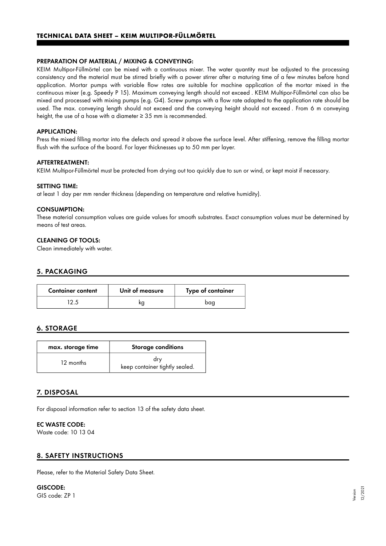# **TECHNICAL DATA SHEET – KEIM MULTIPOR-FÜLLMÖRTEL**

#### PREPARATION OF MATERIAL / MIXING & CONVEYING:

KEIM Multipor-Füllmörtel can be mixed with a continuous mixer. The water quantity must be adjusted to the processing consistency and the material must be stirred briefly with a power stirrer after a maturing time of a few minutes before hand application. Mortar pumps with variable flow rates are suitable for machine application of the mortar mixed in the continuous mixer (e.g. Speedy P 15). Maximum conveying length should not exceed . KEIM Multipor-Füllmörtel can also be mixed and processed with mixing pumps (e.g. G4). Screw pumps with a flow rate adapted to the application rate should be used. The max. conveying length should not exceed and the conveying height should not exceed . From 6 m conveying height, the use of a hose with a diameter ≥ 35 mm is recommended.

#### APPLICATION:

Press the mixed filling mortar into the defects and spread it above the surface level. After stiffening, remove the filling mortar flush with the surface of the board. For layer thicknesses up to 50 mm per layer.

#### AFTERTREATMENT:

KEIM Multipor-Füllmörtel must be protected from drying out too quickly due to sun or wind, or kept moist if necessary.

#### SETTING TIME:

at least 1 day per mm render thickness (depending on temperature and relative humidity).

#### CONSUMPTION:

These material consumption values are guide values for smooth substrates. Exact consumption values must be determined by means of test areas.

#### CLEANING OF TOOLS:

Clean immediately with water.

#### 5. PACKAGING

| <b>Container content</b> | Unit of measure | Type of container |
|--------------------------|-----------------|-------------------|
|                          | κç              | baa               |

## 6. STORAGE

| max. storage time | <b>Storage conditions</b>             |
|-------------------|---------------------------------------|
| 12 months         | drv<br>keep container tightly sealed. |

## 7. DISPOSAL

For disposal information refer to section 13 of the safety data sheet.

#### EC WASTE CODE:

Waste code: 10 13 04

## 8. SAFETY INSTRUCTIONS

Please, refer to the Material Safety Data Sheet.

GISCODE: GIS code: ZP 1